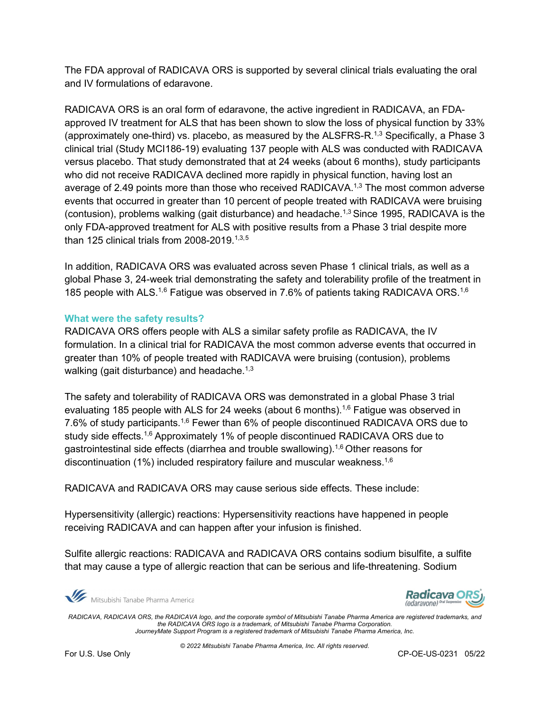The FDA approval of RADICAVA ORS is supported by several clinical trials evaluating the oral and IV formulations of edaravone.

RADICAVA ORS is an oral form of edaravone, the active ingredient in RADICAVA, an FDAapproved IV treatment for ALS that has been shown to slow the loss of physical function by 33% (approximately one-third) vs. placebo, as measured by the ALSFRS-R.<sup>1[,3](#page-0-1)</sup> Specifically, a Phase 3 clinical trial (Study MCI186-19) evaluating 137 people with ALS was conducted with RADICAVA versus placebo. That study demonstrated that at 24 weeks (about 6 months), study participants who did not receive RADICAVA declined more rapidly in physical function, having lost an average of 2.49 points more than those who received RADICAVA.<sup>[1,](#page-0-0)[3](#page-0-1)</sup> The most common adverse events that occurred in greater than 10 percent of people treated with RADICAVA were bruising (contusion), problems walking (gait disturbance) and headache.<sup>1,[3](#page-0-1)</sup> Since 1995, RADICAVA is the only FDA-approved treatment for ALS with positive results from a Phase 3 trial despite more than 125 clinical trials from 2008-2019. [1,](#page-0-0)[3,](#page-0-1)[5](#page-7-0)

<span id="page-2-0"></span>In addition, RADICAVA ORS was evaluated across seven Phase 1 clinical trials, as well as a global Phase 3, 24-week trial demonstrating the safety and tolerability profile of the treatment in 185 people with ALS.<sup>[1,](#page-0-0)[6](#page-2-0)</sup> Fatigue was observed in 7.6% of patients taking RADICAVA ORS.<sup>1,6</sup>

## **What were the safety results?**

RADICAVA ORS offers people with ALS a similar safety profile as RADICAVA, the IV formulation. In a clinical trial for RADICAVA the most common adverse events that occurred in greater than 10% of people treated with RADICAVA were bruising (contusion), problems walking (gait disturbance) and headache.<sup>1,[3](#page-0-1)</sup>

The safety and tolerability of RADICAVA ORS was demonstrated in a global Phase 3 trial evaluating 185 people with ALS for 24 weeks (about [6](#page-2-0) months).<sup>1,6</sup> Fatigue was observed in 7.[6](#page-2-0)% of study participants.<sup>1,6</sup> Fewer than 6% of people discontinued RADICAVA ORS due to study side effects.<sup>1,[6](#page-2-0)</sup> Approximately 1% of people discontinued RADICAVA ORS due to gastrointestinal side effects (diarrhea and trouble swallowing). [1,](#page-0-0)[6](#page-2-0) Other reasons for discontinuation (1%) included respiratory failure and muscular weakness. $^{\rm 1,6}$  $^{\rm 1,6}$  $^{\rm 1,6}$  $^{\rm 1,6}$ 

RADICAVA and RADICAVA ORS may cause serious side effects. These include:

Hypersensitivity (allergic) reactions: Hypersensitivity reactions have happened in people receiving RADICAVA and can happen after your infusion is finished.

Sulfite allergic reactions: RADICAVA and RADICAVA ORS contains sodium bisulfite, a sulfite that may cause a type of allergic reaction that can be serious and life-threatening. Sodium

Mitsubishi Tanabe Pharma America



*RADICAVA, RADICAVA ORS, the RADICAVA logo, and the corporate symbol of Mitsubishi Tanabe Pharma America are registered trademarks, and the RADICAVA ORS logo is a trademark, of Mitsubishi Tanabe Pharma Corporation. JourneyMate Support Program is a registered trademark of Mitsubishi Tanabe Pharma America, Inc.*

*© 2022 Mitsubishi Tanabe Pharma America, Inc. All rights reserved.* 

For U.S. Use Only CP-OE-US-0231 05/22